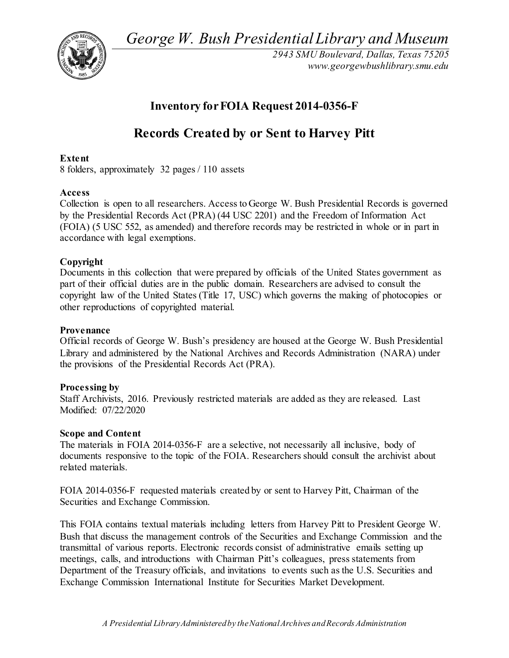*George W. Bush Presidential Library and Museum* 



*2943 SMU Boulevard, Dallas, Texas 75205 <www.georgewbushlibrary.smu.edu>*

## **Inventory for FOIA Request 2014-0356-F**

# **Records Created by or Sent to Harvey Pitt**

## **Extent**

8 folders, approximately 32 pages / 110 assets

## **Access**

 Collection is open to all researchers. Access to George W. Bush Presidential Records is governed by the Presidential Records Act (PRA) (44 USC 2201) and the Freedom of Information Act (FOIA) (5 USC 552, as amended) and therefore records may be restricted in whole or in part in accordance with legal exemptions.

## **Copyright**

 Documents in this collection that were prepared by officials of the United States government as part of their official duties are in the public domain. Researchers are advised to consult the copyright law of the United States (Title 17, USC) which governs the making of photocopies or other reproductions of copyrighted material.

## **Provenance**

 Official records of George W. Bush's presidency are housed at the George W. Bush Presidential the provisions of the Presidential Records Act (PRA). Library and administered by the National Archives and Records Administration (NARA) under

## **Processing by**

 Staff Archivists, 2016. Previously restricted materials are added as they are released. Last Modified: 07/22/2020

## **Scope and Content**

 The materials in FOIA 2014-0356-F are a selective, not necessarily all inclusive, body of documents responsive to the topic of the FOIA. Researchers should consult the archivist about related materials.

 FOIA 2014-0356-F requested materials created by or sent to Harvey Pitt, Chairman of the Securities and Exchange Commission.

 This FOIA contains textual materials including letters from Harvey Pitt to President George W. Bush that discuss the management controls of the Securities and Exchange Commission and the transmittal of various reports. Electronic records consist of administrative emails setting up meetings, calls, and introductions with Chairman Pitt's colleagues, press statements from Department of the Treasury officials, and invitations to events such as the U.S. Securities and Exchange Commission International Institute for Securities Market Development.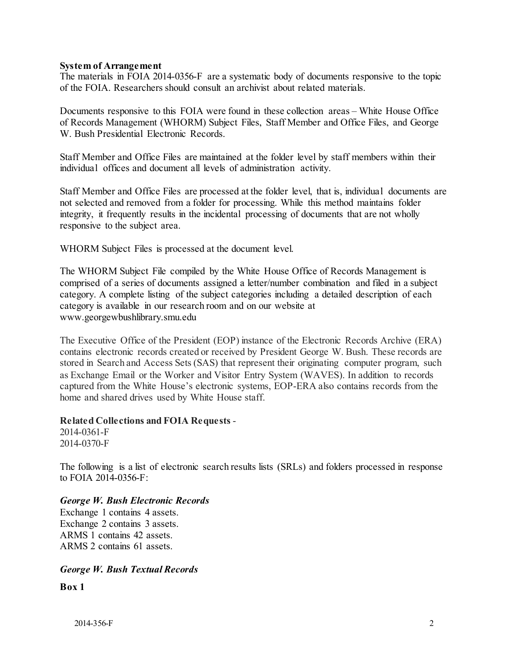#### **System of Arrangement**

 The materials in FOIA 2014-0356-F are a systematic body of documents responsive to the topic of the FOIA. Researchers should consult an archivist about related materials.

 Documents responsive to this FOIA were found in these collection areas – White House Office of Records Management (WHORM) Subject Files, Staff Member and Office Files, and George W. Bush Presidential Electronic Records.

 Staff Member and Office Files are maintained at the folder level by staff members within their individual offices and document all levels of administration activity.

 Staff Member and Office Files are processed at the folder level, that is, individual documents are not selected and removed from a folder for processing. While this method maintains folder integrity, it frequently results in the incidental processing of documents that are not wholly responsive to the subject area.

WHORM Subject Files is processed at the document level.

 The WHORM Subject File compiled by the White House Office of Records Management is category. A complete listing of the subject categories including a detailed description of each comprised of a series of documents assigned a letter/number combination and filed in a subject category is available in our research room and on our website at <www.georgewbushlibrary.smu.edu>

 The Executive Office of the President (EOP) instance of the Electronic Records Archive (ERA) contains electronic records created or received by President George W. Bush. These records are stored in Search and Access Sets (SAS) that represent their originating computer program, such as Exchange Email or the Worker and Visitor Entry System (WAVES). In addition to records captured from the White House's electronic systems, EOP-ERA also contains records from the home and shared drives used by White House staff.

## **Related Collections and FOIA Requests** -

2014-0361-F 2014-0370-F

 The following is a list of electronic search results lists (SRLs) and folders processed in response to FOIA 2014-0356-F:

#### *George W. Bush Electronic Records*

 Exchange 1 contains 4 assets. Exchange 2 contains 3 assets. ARMS 1 contains 42 assets. ARMS 2 contains 61 assets.

## *George W. Bush Textual Records*

**Box 1**